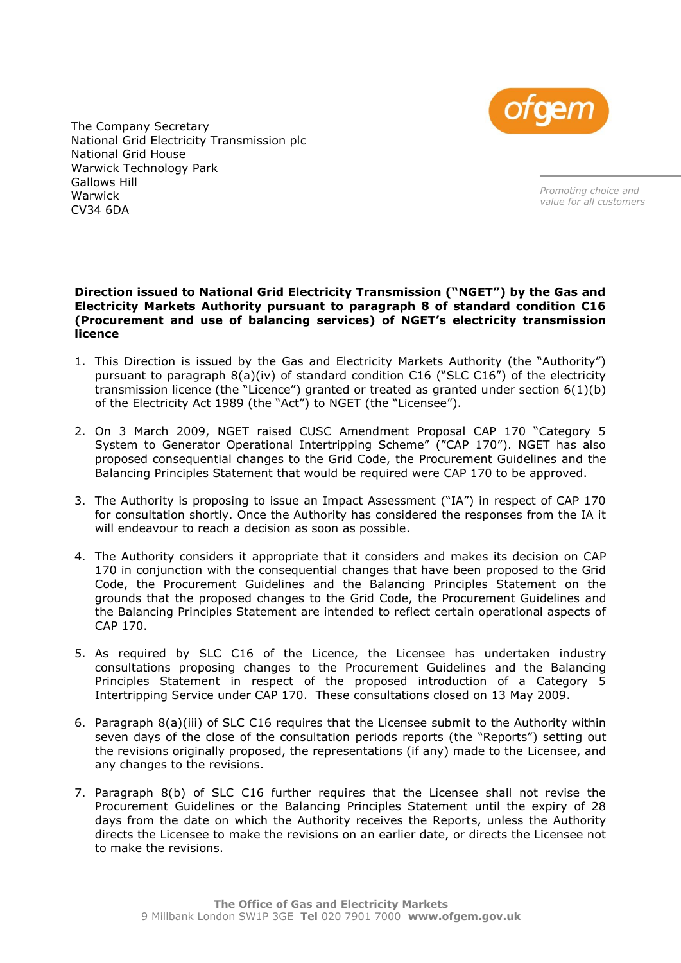

The Company Secretary National Grid Electricity Transmission plc National Grid House Warwick Technology Park Gallows Hill Warwick CV34 6DA

*Promoting choice and value for all customers*

## **Direction issued to National Grid Electricity Transmission ("NGET") by the Gas and Electricity Markets Authority pursuant to paragraph 8 of standard condition C16 (Procurement and use of balancing services) of NGET's electricity transmission licence**

- 1. This Direction is issued by the Gas and Electricity Markets Authority (the "Authority") pursuant to paragraph  $8(a)(iv)$  of standard condition C16 ("SLC C16") of the electricity transmission licence (the "Licence") granted or treated as granted under section 6(1)(b) of the Electricity Act 1989 (the "Act") to NGET (the "Licensee").
- 2. On 3 March 2009, NGET raised CUSC Amendment Proposal CAP 170 "Category 5 System to Generator Operational Intertripping Scheme" ("CAP 170"). NGET has also proposed consequential changes to the Grid Code, the Procurement Guidelines and the Balancing Principles Statement that would be required were CAP 170 to be approved.
- 3. The Authority is proposing to issue an Impact Assessment ("IA") in respect of CAP 170 for consultation shortly. Once the Authority has considered the responses from the IA it will endeavour to reach a decision as soon as possible.
- 4. The Authority considers it appropriate that it considers and makes its decision on CAP 170 in conjunction with the consequential changes that have been proposed to the Grid Code, the Procurement Guidelines and the Balancing Principles Statement on the grounds that the proposed changes to the Grid Code, the Procurement Guidelines and the Balancing Principles Statement are intended to reflect certain operational aspects of CAP 170.
- 5. As required by SLC C16 of the Licence, the Licensee has undertaken industry consultations proposing changes to the Procurement Guidelines and the Balancing Principles Statement in respect of the proposed introduction of a Category 5 Intertripping Service under CAP 170. These consultations closed on 13 May 2009.
- 6. Paragraph 8(a)(iii) of SLC C16 requires that the Licensee submit to the Authority within seven days of the close of the consultation periods reports (the "Reports") setting out the revisions originally proposed, the representations (if any) made to the Licensee, and any changes to the revisions.
- 7. Paragraph 8(b) of SLC C16 further requires that the Licensee shall not revise the Procurement Guidelines or the Balancing Principles Statement until the expiry of 28 days from the date on which the Authority receives the Reports, unless the Authority directs the Licensee to make the revisions on an earlier date, or directs the Licensee not to make the revisions.